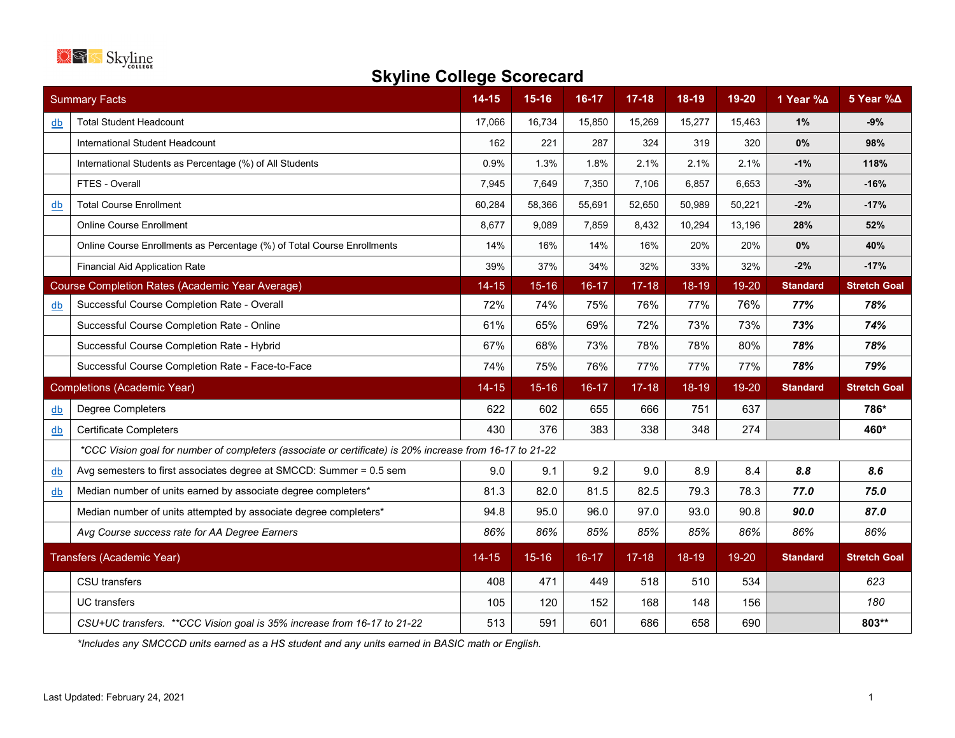

## **Skyline College Scorecard**

| <b>Summary Facts</b>               |                                                                                                          | $14 - 15$ | $15-16$   | 16-17     | $17 - 18$ | 18-19     | 19-20  | 1 Year %∆       | 5 Year %∆           |
|------------------------------------|----------------------------------------------------------------------------------------------------------|-----------|-----------|-----------|-----------|-----------|--------|-----------------|---------------------|
| db                                 | <b>Total Student Headcount</b>                                                                           | 17,066    | 16,734    | 15,850    | 15,269    | 15,277    | 15,463 | 1%              | $-9%$               |
|                                    | International Student Headcount                                                                          | 162       | 221       | 287       | 324       | 319       | 320    | 0%              | 98%                 |
|                                    | International Students as Percentage (%) of All Students                                                 | 0.9%      | 1.3%      | 1.8%      | 2.1%      | 2.1%      | 2.1%   | $-1%$           | 118%                |
|                                    | FTES - Overall                                                                                           | 7,945     | 7,649     | 7,350     | 7,106     | 6,857     | 6,653  | $-3%$           | $-16%$              |
| db                                 | <b>Total Course Enrollment</b>                                                                           | 60,284    | 58,366    | 55,691    | 52.650    | 50,989    | 50,221 | $-2%$           | $-17%$              |
|                                    | <b>Online Course Enrollment</b>                                                                          | 8,677     | 9,089     | 7,859     | 8,432     | 10,294    | 13,196 | 28%             | 52%                 |
|                                    | Online Course Enrollments as Percentage (%) of Total Course Enrollments                                  | 14%       | 16%       | 14%       | 16%       | 20%       | 20%    | 0%              | 40%                 |
|                                    | <b>Financial Aid Application Rate</b>                                                                    | 39%       | 37%       | 34%       | 32%       | 33%       | 32%    | $-2%$           | $-17%$              |
|                                    | <b>Course Completion Rates (Academic Year Average)</b>                                                   | $14 - 15$ | $15 - 16$ | $16 - 17$ | $17 - 18$ | $18 - 19$ | 19-20  | <b>Standard</b> | <b>Stretch Goal</b> |
| db                                 | Successful Course Completion Rate - Overall                                                              | 72%       | 74%       | 75%       | 76%       | 77%       | 76%    | 77%             | 78%                 |
|                                    | Successful Course Completion Rate - Online                                                               | 61%       | 65%       | 69%       | 72%       | 73%       | 73%    | 73%             | 74%                 |
|                                    | Successful Course Completion Rate - Hybrid                                                               | 67%       | 68%       | 73%       | 78%       | 78%       | 80%    | 78%             | 78%                 |
|                                    | Successful Course Completion Rate - Face-to-Face                                                         | 74%       | 75%       | 76%       | 77%       | 77%       | 77%    | 78%             | 79%                 |
| <b>Completions (Academic Year)</b> |                                                                                                          | $14 - 15$ | $15 - 16$ | $16 - 17$ | $17 - 18$ | 18-19     | 19-20  | <b>Standard</b> | <b>Stretch Goal</b> |
| db                                 | <b>Degree Completers</b>                                                                                 | 622       | 602       | 655       | 666       | 751       | 637    |                 | 786*                |
| db                                 | <b>Certificate Completers</b>                                                                            | 430       | 376       | 383       | 338       | 348       | 274    |                 | 460*                |
|                                    | *CCC Vision goal for number of completers (associate or certificate) is 20% increase from 16-17 to 21-22 |           |           |           |           |           |        |                 |                     |
| $\underline{db}$                   | Avg semesters to first associates degree at SMCCD: Summer = 0.5 sem                                      | 9.0       | 9.1       | 9.2       | 9.0       | 8.9       | 8.4    | 8.8             | 8.6                 |
| db                                 | Median number of units earned by associate degree completers*                                            | 81.3      | 82.0      | 81.5      | 82.5      | 79.3      | 78.3   | 77.0            | 75.0                |
|                                    | Median number of units attempted by associate degree completers*                                         | 94.8      | 95.0      | 96.0      | 97.0      | 93.0      | 90.8   | 90.0            | 87.0                |
|                                    | Avg Course success rate for AA Degree Earners                                                            | 86%       | 86%       | 85%       | 85%       | 85%       | 86%    | 86%             | 86%                 |
| Transfers (Academic Year)          |                                                                                                          | $14 - 15$ | $15 - 16$ | $16-17$   | $17 - 18$ | $18-19$   | 19-20  | <b>Standard</b> | <b>Stretch Goal</b> |
|                                    | <b>CSU</b> transfers                                                                                     | 408       | 471       | 449       | 518       | 510       | 534    |                 | 623                 |
|                                    | <b>UC</b> transfers                                                                                      | 105       | 120       | 152       | 168       | 148       | 156    |                 | 180                 |
|                                    | CSU+UC transfers. ** CCC Vision goal is 35% increase from 16-17 to 21-22                                 | 513       | 591       | 601       | 686       | 658       | 690    |                 | 803**               |

*\*Includes any SMCCCD units earned as a HS student and any units earned in BASIC math or English.*